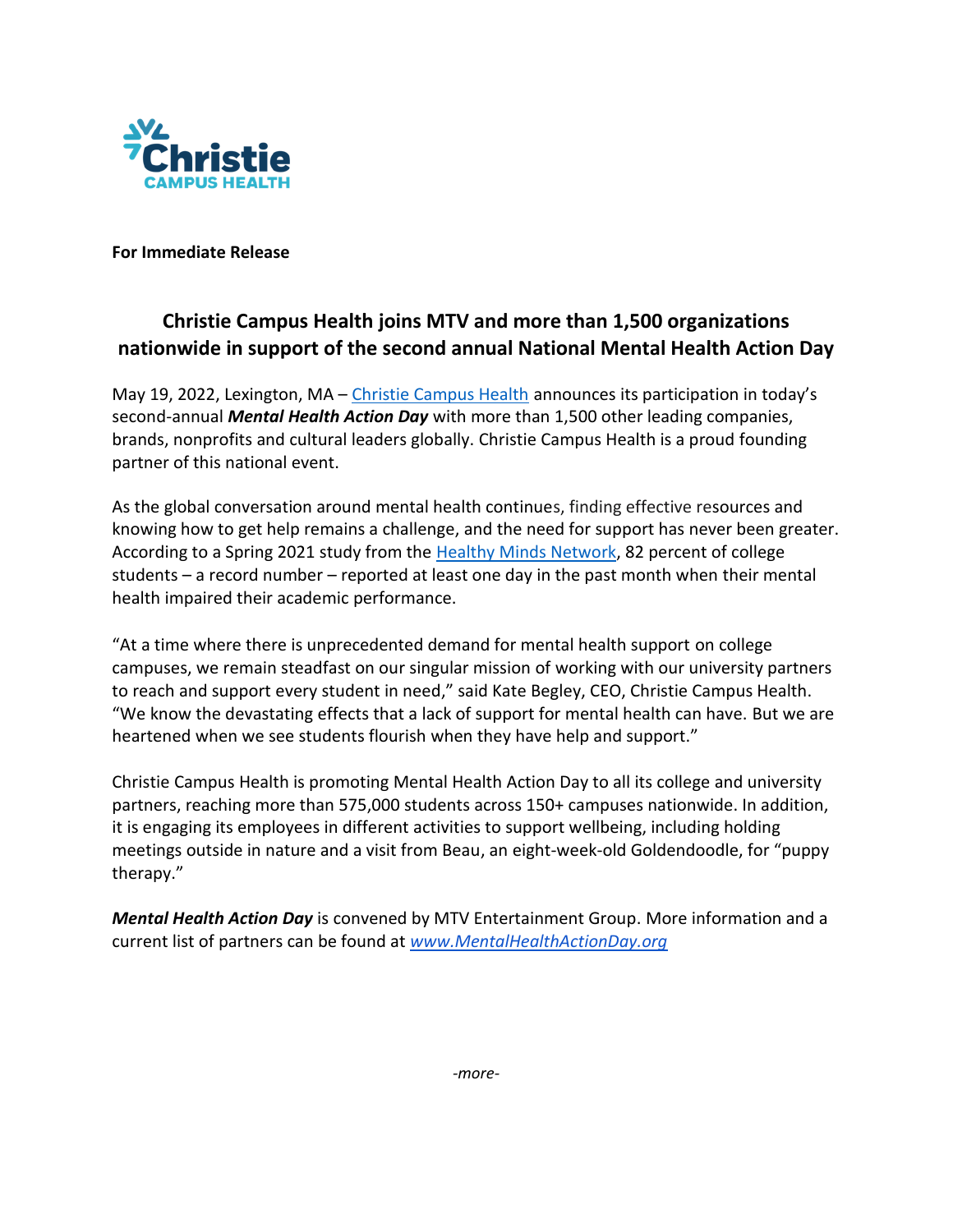

**For Immediate Release**

## **Christie Campus Health joins MTV and more than 1,500 organizations nationwide in support of the second annual National Mental Health Action Day**

May 19, 2022, Lexington, MA – [Christie Campus Health](http://www.christiecampus.com/) announces its participation in today's second-annual *Mental Health Action Day* with more than 1,500 other leading companies, brands, nonprofits and cultural leaders globally. Christie Campus Health is a proud founding partner of this national event.

As the global conversation around mental health continues, finding effective resources and knowing how to get help remains a challenge, and the need for support has never been greater. According to a Spring 2021 study from the [Healthy Minds Network,](https://healthymindsnetwork.org/) 82 percent of college students – a record number – reported at least one day in the past month when their mental health impaired their academic performance.

"At a time where there is unprecedented demand for mental health support on college campuses, we remain steadfast on our singular mission of working with our university partners to reach and support every student in need," said Kate Begley, CEO, Christie Campus Health. "We know the devastating effects that a lack of support for mental health can have. But we are heartened when we see students flourish when they have help and support."

Christie Campus Health is promoting Mental Health Action Day to all its college and university partners, reaching more than 575,000 students across 150+ campuses nationwide. In addition, it is engaging its employees in different activities to support wellbeing, including holding meetings outside in nature and a visit from Beau, an eight-week-old Goldendoodle, for "puppy therapy."

*Mental Health Action Day* is convened by MTV Entertainment Group. More information and a current list of partners can be found at *[www.MentalHealthActionDay.org](http://www.mentalhealthactionday.org/)*